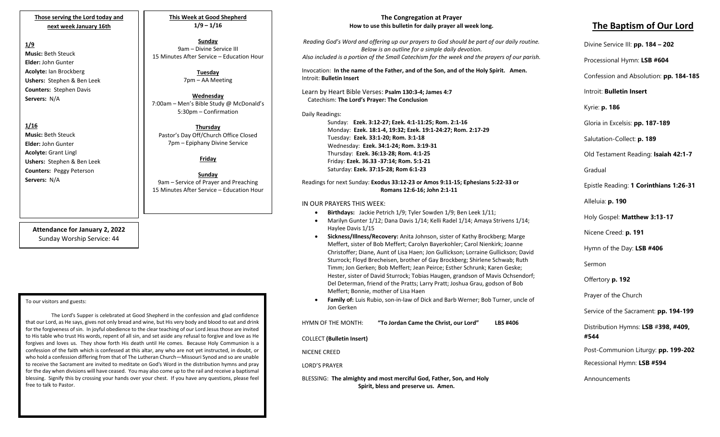**Those serving the Lord today and next week January 16th**

## **1/9**

**Music:** Beth Steuck **Elder:** John Gunter **Acolyte:** Ian Brockberg **Ushers:** Stephen & Ben Leek **Counters:** Stephen Davis **Servers:** N/A

## **1/16**

**Music:** Beth Steuck **Elder:** John Gunter **Acolyte:** Grant Lingl **Ushers:** Stephen & Ben Leek **Counters:** Peggy Peterson **Servers:** N/A

> **Attendance for January 2, 2022** Sunday Worship Service: 44

#### To our visitors and guests:

for the forgiveness of sin. In joyful obedience to the clear teaching of our Lord Jesus those are invited The Lord's Supper is celebrated at Good Shepherd in the confession and glad confidence that our Lord, as He says, gives not only bread and wine, but His very body and blood to eat and drink to His table who trust His words, repent of all sin, and set aside any refusal to forgive and love as He forgives and loves us. They show forth His death until He comes. Because Holy Communion is a confession of the faith which is confessed at this altar, any who are not yet instructed, in doubt, or who hold a confession differing from that of The Lutheran Church—Missouri Synod and so are unable to receive the Sacrament are invited to meditate on God's Word in the distribution hymns and pray for the day when divisions will have ceased. You may also come up to the rail and receive a baptismal blessing. Signify this by crossing your hands over your chest. If you have any questions, please feel free to talk to Pastor.

**This Week at Good Shepherd 1/9 – 1/16**

**Sunday** 9am – Divine Service III 15 Minutes After Service – Education Hour

> **Tuesday** 7pm – AA Meeting

**Wednesday** 7:00am – Men's Bible Study @ McDonald's 5:30pm – Confirmation

**Thursday** Pastor's Day Off/Church Office Closed 7pm – Epiphany Divine Service

#### **Friday**

**Sunday** 9am – Service of Prayer and Preaching 15 Minutes After Service – Education Hour

#### **The Congregation at Prayer How to use this bulletin for daily prayer all week long.**

*Reading God's Word and offering up our prayers to God should be part of our daily routine. Below is an outline for a simple daily devotion. Also included is a portion of the Small Catechism for the week and the prayers of our parish.*

Invocation: **In the name of the Father, and of the Son, and of the Holy Spirit. Amen.** Introit: **Bulletin Insert**

Learn by Heart Bible Verses: **Psalm 130:3-4; James 4:7** Catechism: **The Lord's Prayer: The Conclusion**

#### Daily Readings:

Sunday: **Ezek. 3:12-27; Ezek. 4:1-11:25; Rom. 2:1-16** Monday: **Ezek. 18:1-4, 19:32; Ezek. 19:1-24:27; Rom. 2:17-29** Tuesday: **Ezek. 33:1-20; Rom. 3:1-18** Wednesday: **Ezek. 34:1-24; Rom. 3:19-31** Thursday: **Ezek. 36:13-28; Rom. 4:1-25** Friday: **Ezek. 36.33 -37:14; Rom. 5:1-21** Saturday: **Ezek. 37:15-28; Rom 6:1-23**

#### Readings for next Sunday: **Exodus 33:12-23 or Amos 9:11-15; Ephesians 5:22-33 or Romans 12:6-16; John 2:1-11**

#### IN OUR PRAYERS THIS WEEK:

- **Birthdays:** Jackie Petrich 1/9; Tyler Sowden 1/9; Ben Leek 1/11;
- Marilyn Gunter 1/12; Dana Davis 1/14; Kelli Radel 1/14; Amaya Strivens 1/14; Haylee Davis 1/15
- **Sickness/Illness/Recovery:** Anita Johnson, sister of Kathy Brockberg; Marge Meffert, sister of Bob Meffert; Carolyn Bayerkohler; Carol Nienkirk; Joanne Christoffer; Diane, Aunt of Lisa Haen; Jon Gullickson; Lorraine Gullickson; David Sturrock; Floyd Brecheisen, brother of Gay Brockberg; Shirlene Schwab; Ruth Timm; Jon Gerken; Bob Meffert; Jean Peirce; Esther Schrunk; Karen Geske; Hester, sister of David Sturrock; Tobias Haugen, grandson of Mavis Ochsendorf; Del Determan, friend of the Pratts; Larry Pratt; Joshua Grau, godson of Bob Meffert; Bonnie, mother of Lisa Haen
- **Family of:** Luis Rubio, son-in-law of Dick and Barb Werner; Bob Turner, uncle of Jon Gerken

| HYMN OF THE MONTH:                                                                                          | "To Jordan Came the Christ, our Lord" | <b>LBS #406</b> |
|-------------------------------------------------------------------------------------------------------------|---------------------------------------|-----------------|
| COLLECT (Bulletin Insert)                                                                                   |                                       |                 |
| NICENE CREED                                                                                                |                                       |                 |
| <b>LORD'S PRAYER</b>                                                                                        |                                       |                 |
| BLESSING: The almighty and most merciful God, Father, Son, and Holy<br>Spirit, bless and preserve us. Amen. |                                       |                 |

# **The Baptism of Our Lord**

Divine Service III: **pp. 184 – 202**

Processional Hymn: **LSB #604**

Confession and Absolution: **pp. 184-185**

Introit: **Bulletin Insert** 

Kyrie: **p. 186**

Gloria in Excelsis: **pp. 187-189**

Salutation-Collect: **p. 189**

Old Testament Reading: **Isaiah 42:1-7**

Gradual

Epistle Reading: **1 Corinthians 1:26-31**

Alleluia: **p. 190**

Holy Gospel: **Matthew 3:13-17**

Nicene Creed: **p. 191**

Hymn of the Day: **LSB #406**

Sermon

Offertory **p. 192**

Prayer of the Church

Service of the Sacrament: **pp. 194-199**

Distribution Hymns: **LSB** #**398, #409, #544**

Post-Communion Liturgy: **pp. 199-202** 

Recessional Hymn: **LSB #594**

Announcements